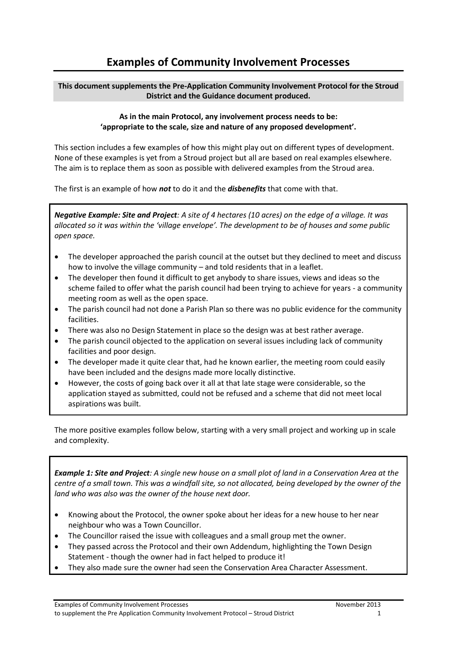## **Examples of Community Involvement Processes**

## **This document supplements the Pre-Application Community Involvement Protocol for the Stroud District and the Guidance document produced.**

## **As in the main Protocol, any involvement process needs to be: 'appropriate to the scale, size and nature of any proposed development'.**

This section includes a few examples of how this might play out on different types of development. None of these examples is yet from a Stroud project but all are based on real examples elsewhere. The aim is to replace them as soon as possible with delivered examples from the Stroud area.

The first is an example of how *not* to do it and the *disbenefits* that come with that.

*Negative Example: Site and Project: A site of 4 hectares (10 acres) on the edge of a village. It was allocated so it was within the 'village envelope'. The development to be of houses and some public open space.*

- The developer approached the parish council at the outset but they declined to meet and discuss how to involve the village community – and told residents that in a leaflet.
- The developer then found it difficult to get anybody to share issues, views and ideas so the scheme failed to offer what the parish council had been trying to achieve for years - a community meeting room as well as the open space.
- The parish council had not done a Parish Plan so there was no public evidence for the community facilities.
- There was also no Design Statement in place so the design was at best rather average.
- The parish council objected to the application on several issues including lack of community facilities and poor design.
- The developer made it quite clear that, had he known earlier, the meeting room could easily have been included and the designs made more locally distinctive.
- However, the costs of going back over it all at that late stage were considerable, so the application stayed as submitted, could not be refused and a scheme that did not meet local aspirations was built.

The more positive examples follow below, starting with a very small project and working up in scale and complexity.

*Example 1: Site and Project: A single new house on a small plot of land in a Conservation Area at the centre of a small town. This was a windfall site, so not allocated, being developed by the owner of the land who was also was the owner of the house next door.*

- Knowing about the Protocol, the owner spoke about her ideas for a new house to her near neighbour who was a Town Councillor.
- The Councillor raised the issue with colleagues and a small group met the owner.
- They passed across the Protocol and their own Addendum, highlighting the Town Design Statement - though the owner had in fact helped to produce it!
- They also made sure the owner had seen the Conservation Area Character Assessment.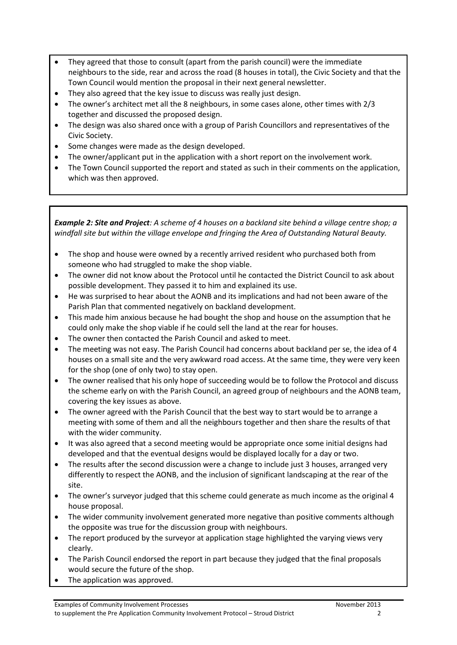- They agreed that those to consult (apart from the parish council) were the immediate neighbours to the side, rear and across the road (8 houses in total), the Civic Society and that the Town Council would mention the proposal in their next general newsletter.
- They also agreed that the key issue to discuss was really just design.
- The owner's architect met all the 8 neighbours, in some cases alone, other times with 2/3 together and discussed the proposed design.
- The design was also shared once with a group of Parish Councillors and representatives of the Civic Society.
- Some changes were made as the design developed.
- The owner/applicant put in the application with a short report on the involvement work.
- The Town Council supported the report and stated as such in their comments on the application, which was then approved.

*Example 2: Site and Project: A scheme of 4 houses on a backland site behind a village centre shop; a windfall site but within the village envelope and fringing the Area of Outstanding Natural Beauty.*

- The shop and house were owned by a recently arrived resident who purchased both from someone who had struggled to make the shop viable.
- The owner did not know about the Protocol until he contacted the District Council to ask about possible development. They passed it to him and explained its use.
- He was surprised to hear about the AONB and its implications and had not been aware of the Parish Plan that commented negatively on backland development.
- This made him anxious because he had bought the shop and house on the assumption that he could only make the shop viable if he could sell the land at the rear for houses.
- The owner then contacted the Parish Council and asked to meet.
- The meeting was not easy. The Parish Council had concerns about backland per se, the idea of 4 houses on a small site and the very awkward road access. At the same time, they were very keen for the shop (one of only two) to stay open.
- The owner realised that his only hope of succeeding would be to follow the Protocol and discuss the scheme early on with the Parish Council, an agreed group of neighbours and the AONB team, covering the key issues as above.
- The owner agreed with the Parish Council that the best way to start would be to arrange a meeting with some of them and all the neighbours together and then share the results of that with the wider community.
- It was also agreed that a second meeting would be appropriate once some initial designs had developed and that the eventual designs would be displayed locally for a day or two.
- The results after the second discussion were a change to include just 3 houses, arranged very differently to respect the AONB, and the inclusion of significant landscaping at the rear of the site.
- The owner's surveyor judged that this scheme could generate as much income as the original 4 house proposal.
- The wider community involvement generated more negative than positive comments although the opposite was true for the discussion group with neighbours.
- The report produced by the surveyor at application stage highlighted the varying views very clearly.
- The Parish Council endorsed the report in part because they judged that the final proposals would secure the future of the shop.
- The application was approved.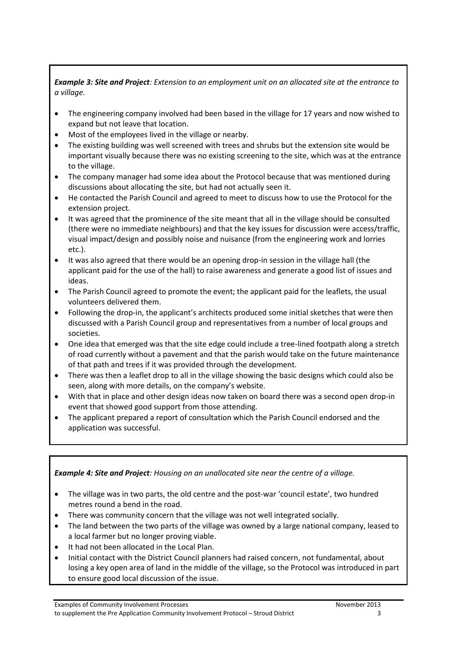*Example 3: Site and Project: Extension to an employment unit on an allocated site at the entrance to a village.* 

- The engineering company involved had been based in the village for 17 years and now wished to expand but not leave that location.
- Most of the employees lived in the village or nearby.
- The existing building was well screened with trees and shrubs but the extension site would be important visually because there was no existing screening to the site, which was at the entrance to the village.
- The company manager had some idea about the Protocol because that was mentioned during discussions about allocating the site, but had not actually seen it.
- He contacted the Parish Council and agreed to meet to discuss how to use the Protocol for the extension project.
- It was agreed that the prominence of the site meant that all in the village should be consulted (there were no immediate neighbours) and that the key issues for discussion were access/traffic, visual impact/design and possibly noise and nuisance (from the engineering work and lorries etc.).
- It was also agreed that there would be an opening drop-in session in the village hall (the applicant paid for the use of the hall) to raise awareness and generate a good list of issues and ideas.
- The Parish Council agreed to promote the event; the applicant paid for the leaflets, the usual volunteers delivered them.
- Following the drop-in, the applicant's architects produced some initial sketches that were then discussed with a Parish Council group and representatives from a number of local groups and societies.
- One idea that emerged was that the site edge could include a tree-lined footpath along a stretch of road currently without a pavement and that the parish would take on the future maintenance of that path and trees if it was provided through the development.
- There was then a leaflet drop to all in the village showing the basic designs which could also be seen, along with more details, on the company's website.
- With that in place and other design ideas now taken on board there was a second open drop-in event that showed good support from those attending.
- The applicant prepared a report of consultation which the Parish Council endorsed and the application was successful.

*Example 4: Site and Project: Housing on an unallocated site near the centre of a village.*

- The village was in two parts, the old centre and the post-war 'council estate', two hundred metres round a bend in the road.
- There was community concern that the village was not well integrated socially.
- The land between the two parts of the village was owned by a large national company, leased to a local farmer but no longer proving viable.
- It had not been allocated in the Local Plan.
- Initial contact with the District Council planners had raised concern, not fundamental, about losing a key open area of land in the middle of the village, so the Protocol was introduced in part to ensure good local discussion of the issue.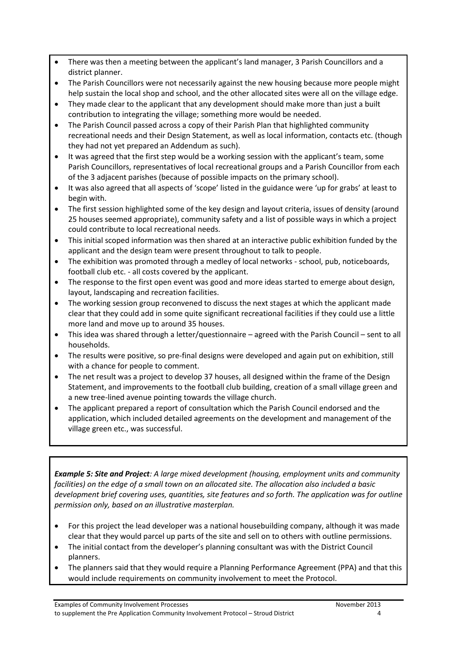- There was then a meeting between the applicant's land manager, 3 Parish Councillors and a district planner.
- The Parish Councillors were not necessarily against the new housing because more people might help sustain the local shop and school, and the other allocated sites were all on the village edge.
- They made clear to the applicant that any development should make more than just a built contribution to integrating the village; something more would be needed.
- The Parish Council passed across a copy of their Parish Plan that highlighted community recreational needs and their Design Statement, as well as local information, contacts etc. (though they had not yet prepared an Addendum as such).
- It was agreed that the first step would be a working session with the applicant's team, some Parish Councillors, representatives of local recreational groups and a Parish Councillor from each of the 3 adjacent parishes (because of possible impacts on the primary school).
- It was also agreed that all aspects of 'scope' listed in the guidance were 'up for grabs' at least to begin with.
- The first session highlighted some of the key design and layout criteria, issues of density (around 25 houses seemed appropriate), community safety and a list of possible ways in which a project could contribute to local recreational needs.
- This initial scoped information was then shared at an interactive public exhibition funded by the applicant and the design team were present throughout to talk to people.
- The exhibition was promoted through a medley of local networks school, pub, noticeboards, football club etc. - all costs covered by the applicant.
- The response to the first open event was good and more ideas started to emerge about design, layout, landscaping and recreation facilities.
- The working session group reconvened to discuss the next stages at which the applicant made clear that they could add in some quite significant recreational facilities if they could use a little more land and move up to around 35 houses.
- This idea was shared through a letter/questionnaire agreed with the Parish Council sent to all households.
- The results were positive, so pre-final designs were developed and again put on exhibition, still with a chance for people to comment.
- The net result was a project to develop 37 houses, all designed within the frame of the Design Statement, and improvements to the football club building, creation of a small village green and a new tree-lined avenue pointing towards the village church.
- The applicant prepared a report of consultation which the Parish Council endorsed and the application, which included detailed agreements on the development and management of the village green etc., was successful.

*Example 5: Site and Project: A large mixed development (housing, employment units and community facilities) on the edge of a small town on an allocated site. The allocation also included a basic development brief covering uses, quantities, site features and so forth. The application was for outline permission only, based on an illustrative masterplan.*

- For this project the lead developer was a national housebuilding company, although it was made clear that they would parcel up parts of the site and sell on to others with outline permissions.
- The initial contact from the developer's planning consultant was with the District Council planners.
- The planners said that they would require a Planning Performance Agreement (PPA) and that this would include requirements on community involvement to meet the Protocol.